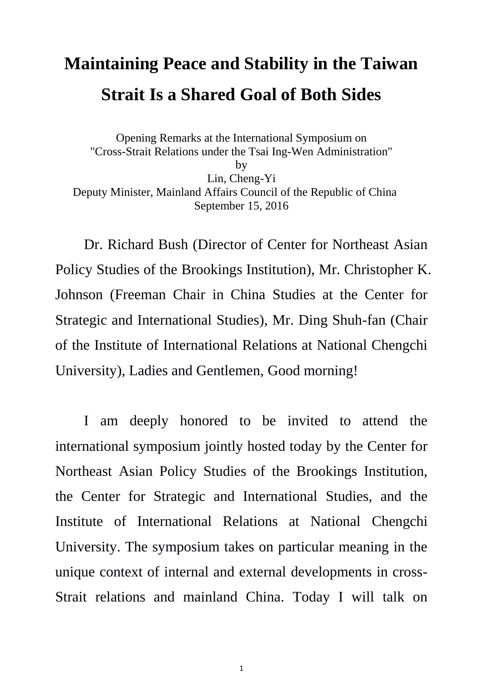# **Maintaining Peace and Stability in the Taiwan Strait Is a Shared Goal of Both Sides**

Opening Remarks at the International Symposium on "Cross-Strait Relations under the Tsai Ing-Wen Administration" by Lin, Cheng-Yi Deputy Minister, Mainland Affairs Council of the Republic of China September 15, 2016

Dr. Richard Bush (Director of Center for Northeast Asian Policy Studies of the Brookings Institution), Mr. Christopher K. Johnson (Freeman Chair in China Studies at the Center for Strategic and International Studies), Mr. Ding Shuh-fan (Chair of the Institute of International Relations at National Chengchi University), Ladies and Gentlemen, Good morning!

I am deeply honored to be invited to attend the international symposium jointly hosted today by the Center for Northeast Asian Policy Studies of the Brookings Institution, the Center for Strategic and International Studies, and the Institute of International Relations at National Chengchi University. The symposium takes on particular meaning in the unique context of internal and external developments in cross-Strait relations and mainland China. Today I will talk on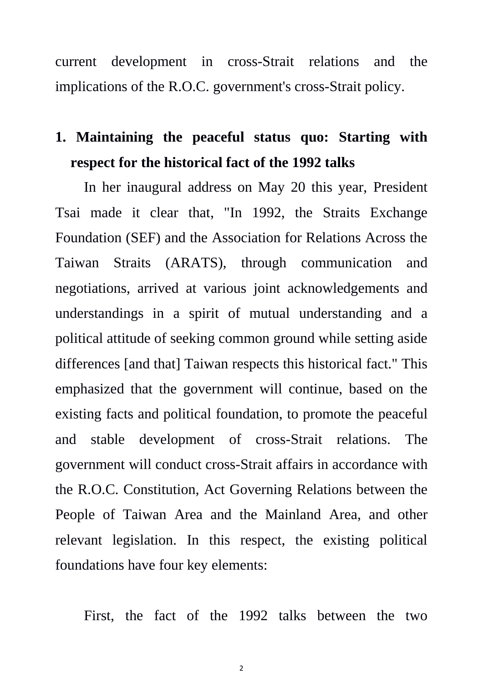current development in cross-Strait relations and the implications of the R.O.C. government's cross-Strait policy.

#### **1. Maintaining the peaceful status quo: Starting with respect for the historical fact of the 1992 talks**

In her inaugural address on May 20 this year, President Tsai made it clear that, "In 1992, the Straits Exchange Foundation (SEF) and the Association for Relations Across the Taiwan Straits (ARATS), through communication and negotiations, arrived at various joint acknowledgements and understandings in a spirit of mutual understanding and a political attitude of seeking common ground while setting aside differences [and that] Taiwan respects this historical fact." This emphasized that the government will continue, based on the existing facts and political foundation, to promote the peaceful and stable development of cross-Strait relations. The government will conduct cross-Strait affairs in accordance with the R.O.C. Constitution, Act Governing Relations between the People of Taiwan Area and the Mainland Area, and other relevant legislation. In this respect, the existing political foundations have four key elements:

First, the fact of the 1992 talks between the two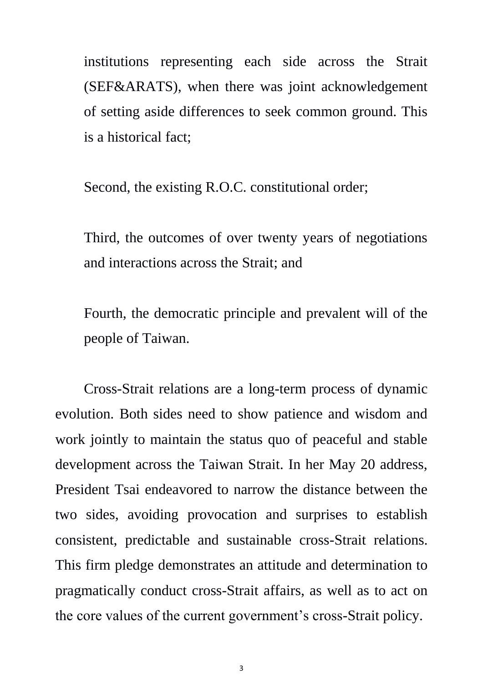institutions representing each side across the Strait (SEF&ARATS), when there was joint acknowledgement of setting aside differences to seek common ground. This is a historical fact;

Second, the existing R.O.C. constitutional order;

Third, the outcomes of over twenty years of negotiations and interactions across the Strait; and

Fourth, the democratic principle and prevalent will of the people of Taiwan.

Cross-Strait relations are a long-term process of dynamic evolution. Both sides need to show patience and wisdom and work jointly to maintain the status quo of peaceful and stable development across the Taiwan Strait. In her May 20 address, President Tsai endeavored to narrow the distance between the two sides, avoiding provocation and surprises to establish consistent, predictable and sustainable cross-Strait relations. This firm pledge demonstrates an attitude and determination to pragmatically conduct cross-Strait affairs, as well as to act on the core values of the current government's cross-Strait policy.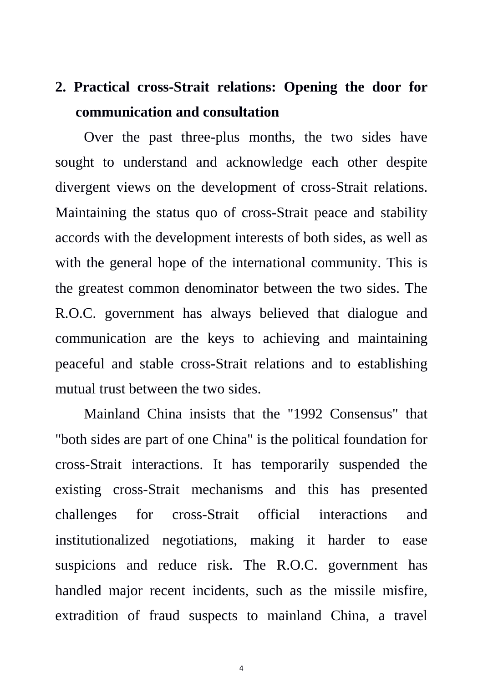# **2. Practical cross-Strait relations: Opening the door for communication and consultation**

Over the past three-plus months, the two sides have sought to understand and acknowledge each other despite divergent views on the development of cross-Strait relations. Maintaining the status quo of cross-Strait peace and stability accords with the development interests of both sides, as well as with the general hope of the international community. This is the greatest common denominator between the two sides. The R.O.C. government has always believed that dialogue and communication are the keys to achieving and maintaining peaceful and stable cross-Strait relations and to establishing mutual trust between the two sides.

Mainland China insists that the "1992 Consensus" that "both sides are part of one China" is the political foundation for cross-Strait interactions. It has temporarily suspended the existing cross-Strait mechanisms and this has presented challenges for cross-Strait official interactions and institutionalized negotiations, making it harder to ease suspicions and reduce risk. The R.O.C. government has handled major recent incidents, such as the missile misfire, extradition of fraud suspects to mainland China, a travel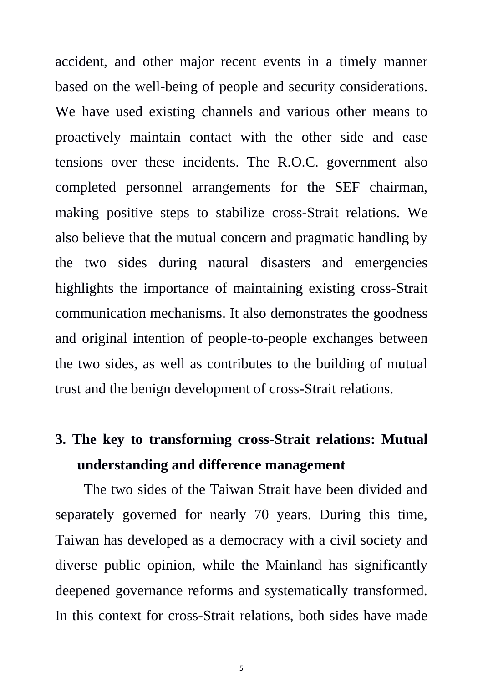accident, and other major recent events in a timely manner based on the well-being of people and security considerations. We have used existing channels and various other means to proactively maintain contact with the other side and ease tensions over these incidents. The R.O.C. government also completed personnel arrangements for the SEF chairman, making positive steps to stabilize cross-Strait relations. We also believe that the mutual concern and pragmatic handling by the two sides during natural disasters and emergencies highlights the importance of maintaining existing cross-Strait communication mechanisms. It also demonstrates the goodness and original intention of people-to-people exchanges between the two sides, as well as contributes to the building of mutual trust and the benign development of cross-Strait relations.

# **3. The key to transforming cross-Strait relations: Mutual understanding and difference management**

The two sides of the Taiwan Strait have been divided and separately governed for nearly 70 years. During this time, Taiwan has developed as a democracy with a civil society and diverse public opinion, while the Mainland has significantly deepened governance reforms and systematically transformed. In this context for cross-Strait relations, both sides have made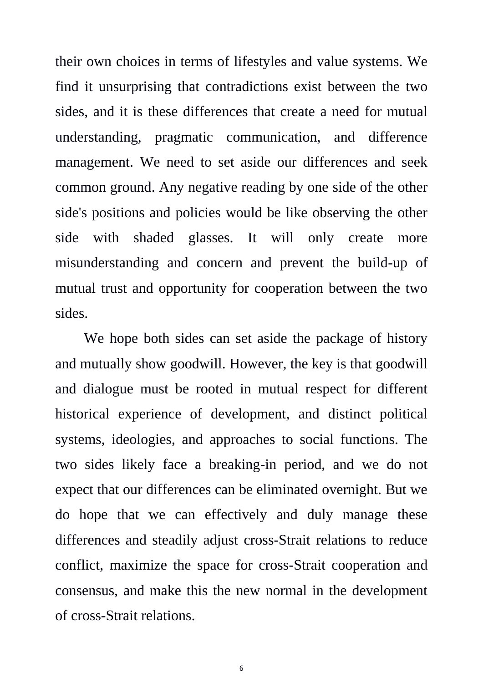their own choices in terms of lifestyles and value systems. We find it unsurprising that contradictions exist between the two sides, and it is these differences that create a need for mutual understanding, pragmatic communication, and difference management. We need to set aside our differences and seek common ground. Any negative reading by one side of the other side's positions and policies would be like observing the other side with shaded glasses. It will only create more misunderstanding and concern and prevent the build-up of mutual trust and opportunity for cooperation between the two sides.

We hope both sides can set aside the package of history and mutually show goodwill. However, the key is that goodwill and dialogue must be rooted in mutual respect for different historical experience of development, and distinct political systems, ideologies, and approaches to social functions. The two sides likely face a breaking-in period, and we do not expect that our differences can be eliminated overnight. But we do hope that we can effectively and duly manage these differences and steadily adjust cross-Strait relations to reduce conflict, maximize the space for cross-Strait cooperation and consensus, and make this the new normal in the development of cross-Strait relations.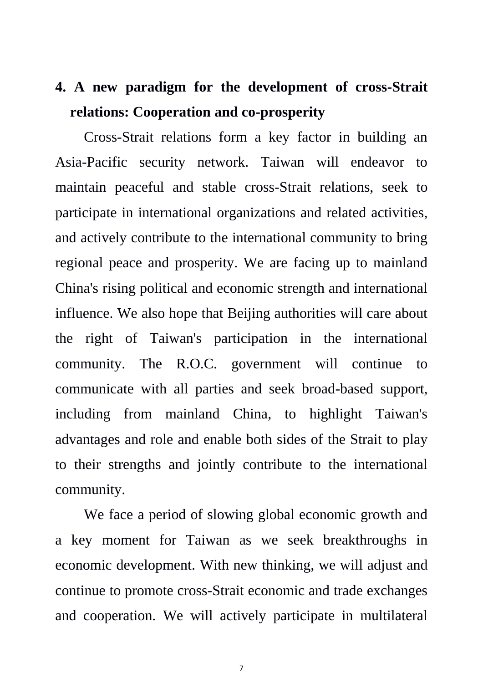# **4. A new paradigm for the development of cross-Strait relations: Cooperation and co-prosperity**

Cross-Strait relations form a key factor in building an Asia-Pacific security network. Taiwan will endeavor to maintain peaceful and stable cross-Strait relations, seek to participate in international organizations and related activities, and actively contribute to the international community to bring regional peace and prosperity. We are facing up to mainland China's rising political and economic strength and international influence. We also hope that Beijing authorities will care about the right of Taiwan's participation in the international community. The R.O.C. government will continue to communicate with all parties and seek broad-based support, including from mainland China, to highlight Taiwan's advantages and role and enable both sides of the Strait to play to their strengths and jointly contribute to the international community.

We face a period of slowing global economic growth and a key moment for Taiwan as we seek breakthroughs in economic development. With new thinking, we will adjust and continue to promote cross-Strait economic and trade exchanges and cooperation. We will actively participate in multilateral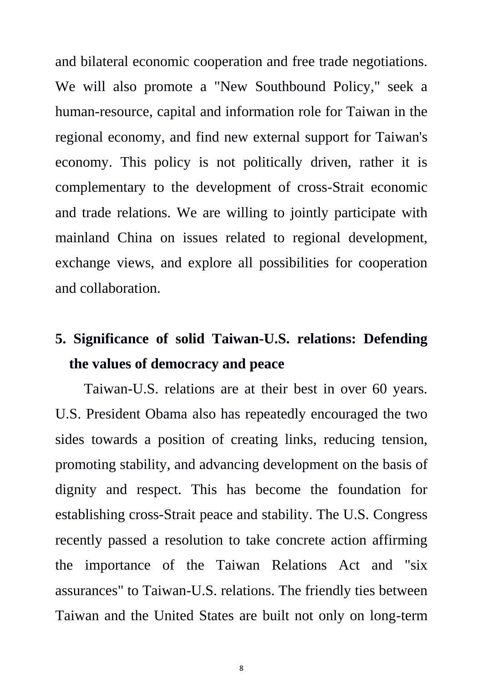and bilateral economic cooperation and free trade negotiations. We will also promote a "New Southbound Policy," seek a human-resource, capital and information role for Taiwan in the regional economy, and find new external support for Taiwan's economy. This policy is not politically driven, rather it is complementary to the development of cross-Strait economic and trade relations. We are willing to jointly participate with mainland China on issues related to regional development, exchange views, and explore all possibilities for cooperation and collaboration.

## **5. Significance of solid Taiwan-U.S. relations: Defending the values of democracy and peace**

Taiwan-U.S. relations are at their best in over 60 years. U.S. President Obama also has repeatedly encouraged the two sides towards a position of creating links, reducing tension, promoting stability, and advancing development on the basis of dignity and respect. This has become the foundation for establishing cross-Strait peace and stability. The U.S. Congress recently passed a resolution to take concrete action affirming the importance of the Taiwan Relations Act and "six assurances" to Taiwan-U.S. relations. The friendly ties between Taiwan and the United States are built not only on long-term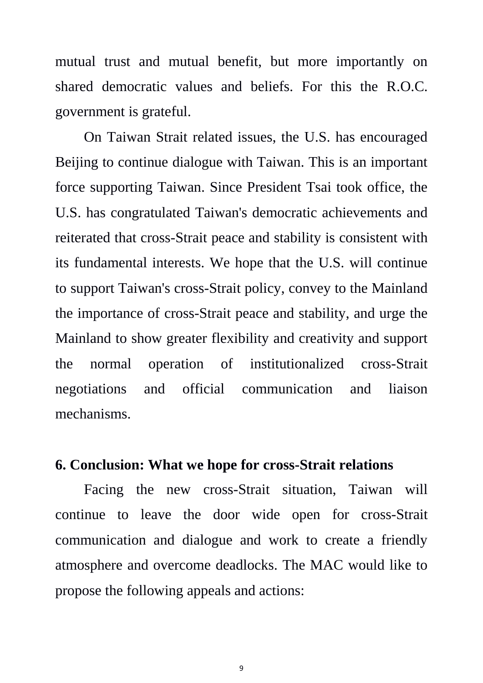mutual trust and mutual benefit, but more importantly on shared democratic values and beliefs. For this the R.O.C. government is grateful.

On Taiwan Strait related issues, the U.S. has encouraged Beijing to continue dialogue with Taiwan. This is an important force supporting Taiwan. Since President Tsai took office, the U.S. has congratulated Taiwan's democratic achievements and reiterated that cross-Strait peace and stability is consistent with its fundamental interests. We hope that the U.S. will continue to support Taiwan's cross-Strait policy, convey to the Mainland the importance of cross-Strait peace and stability, and urge the Mainland to show greater flexibility and creativity and support the normal operation of institutionalized cross-Strait negotiations and official communication and liaison mechanisms.

#### **6. Conclusion: What we hope for cross-Strait relations**

Facing the new cross-Strait situation, Taiwan will continue to leave the door wide open for cross-Strait communication and dialogue and work to create a friendly atmosphere and overcome deadlocks. The MAC would like to propose the following appeals and actions: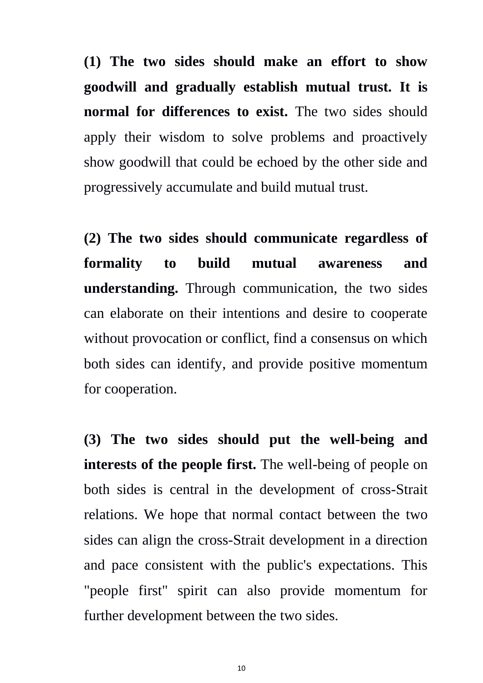**(1) The two sides should make an effort to show goodwill and gradually establish mutual trust. It is normal for differences to exist.** The two sides should apply their wisdom to solve problems and proactively show goodwill that could be echoed by the other side and progressively accumulate and build mutual trust.

**(2) The two sides should communicate regardless of formality to build mutual awareness and understanding.** Through communication, the two sides can elaborate on their intentions and desire to cooperate without provocation or conflict, find a consensus on which both sides can identify, and provide positive momentum for cooperation.

**(3) The two sides should put the well-being and interests of the people first.** The well-being of people on both sides is central in the development of cross-Strait relations. We hope that normal contact between the two sides can align the cross-Strait development in a direction and pace consistent with the public's expectations. This "people first" spirit can also provide momentum for further development between the two sides.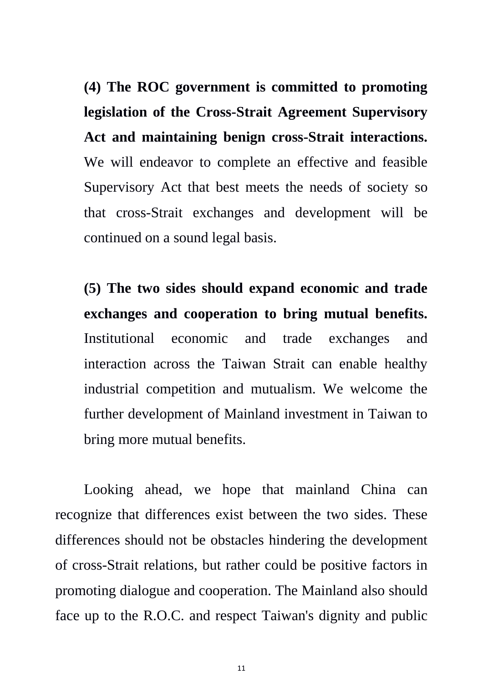**(4) The ROC government is committed to promoting legislation of the Cross-Strait Agreement Supervisory Act and maintaining benign cross-Strait interactions.**  We will endeavor to complete an effective and feasible Supervisory Act that best meets the needs of society so that cross-Strait exchanges and development will be continued on a sound legal basis.

**(5) The two sides should expand economic and trade exchanges and cooperation to bring mutual benefits.**  Institutional economic and trade exchanges and interaction across the Taiwan Strait can enable healthy industrial competition and mutualism. We welcome the further development of Mainland investment in Taiwan to bring more mutual benefits.

Looking ahead, we hope that mainland China can recognize that differences exist between the two sides. These differences should not be obstacles hindering the development of cross-Strait relations, but rather could be positive factors in promoting dialogue and cooperation. The Mainland also should face up to the R.O.C. and respect Taiwan's dignity and public